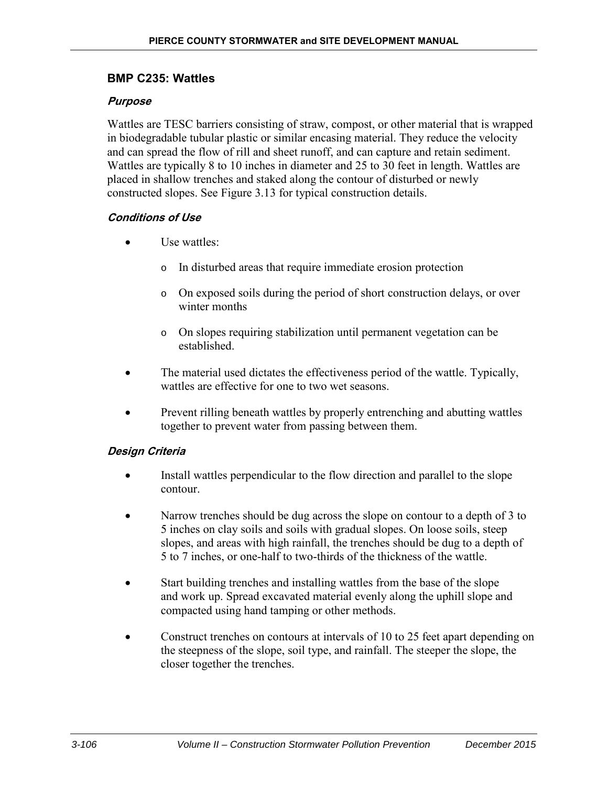## **BMP C235: Wattles**

#### **Purpose**

Wattles are TESC barriers consisting of straw, compost, or other material that is wrapped in biodegradable tubular plastic or similar encasing material. They reduce the velocity and can spread the flow of rill and sheet runoff, and can capture and retain sediment. Wattles are typically 8 to 10 inches in diameter and 25 to 30 feet in length. Wattles are placed in shallow trenches and staked along the contour of disturbed or newly constructed slopes. See Figure 3.13 for typical construction details.

#### **Conditions of Use**

- Use wattles:
	- In disturbed areas that require immediate erosion protection
	- o On exposed soils during the period of short construction delays, or over winter months
	- o On slopes requiring stabilization until permanent vegetation can be established.
- The material used dictates the effectiveness period of the wattle. Typically, wattles are effective for one to two wet seasons.
- Prevent rilling beneath wattles by properly entrenching and abutting wattles together to prevent water from passing between them.

#### **Design Criteria**

- Install wattles perpendicular to the flow direction and parallel to the slope contour.
- Narrow trenches should be dug across the slope on contour to a depth of 3 to 5 inches on clay soils and soils with gradual slopes. On loose soils, steep slopes, and areas with high rainfall, the trenches should be dug to a depth of 5 to 7 inches, or one-half to two-thirds of the thickness of the wattle.
- Start building trenches and installing wattles from the base of the slope and work up. Spread excavated material evenly along the uphill slope and compacted using hand tamping or other methods.
- Construct trenches on contours at intervals of 10 to 25 feet apart depending on the steepness of the slope, soil type, and rainfall. The steeper the slope, the closer together the trenches.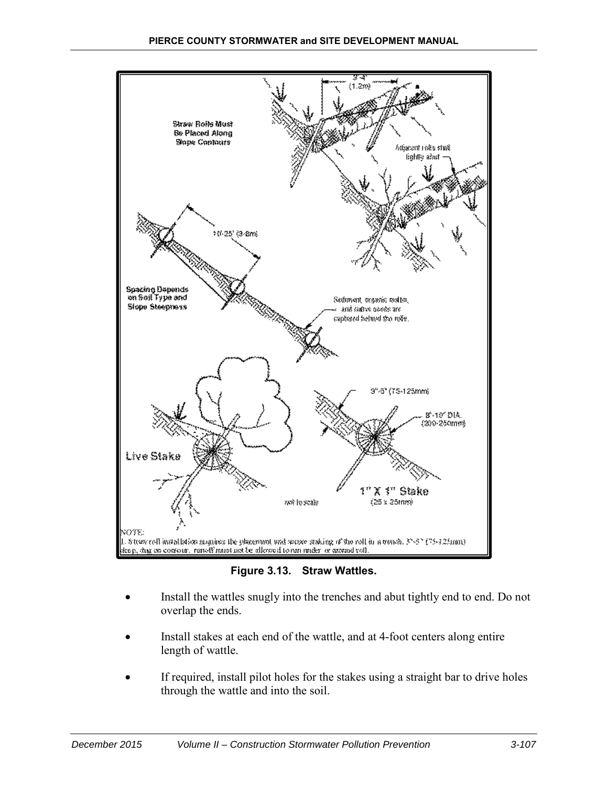

**Figure 3.13. Straw Wattles.**

- Install the wattles snugly into the trenches and abut tightly end to end. Do not overlap the ends.
- Install stakes at each end of the wattle, and at 4-foot centers along entire length of wattle.
- If required, install pilot holes for the stakes using a straight bar to drive holes through the wattle and into the soil.